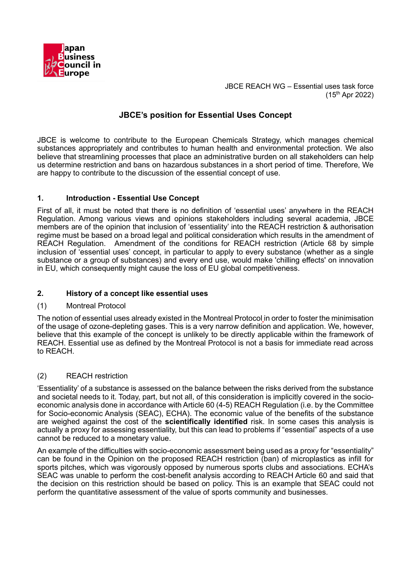

# **JBCE's position for Essential Uses Concept**

JBCE is welcome to contribute to the European Chemicals Strategy, which manages chemical substances appropriately and contributes to human health and environmental protection. We also believe that streamlining processes that place an administrative burden on all stakeholders can help us determine restriction and bans on hazardous substances in a short period of time. Therefore, We are happy to contribute to the discussion of the essential concept of use.

## **1. Introduction - Essential Use Concept**

First of all, it must be noted that there is no definition of 'essential uses' anywhere in the REACH Regulation. Among various views and opinions stakeholders including several academia, JBCE members are of the opinion that inclusion of 'essentiality' into the REACH restriction & authorisation regime must be based on a broad legal and political consideration which results in the amendment of REACH Regulation. Amendment of the conditions for REACH restriction (Article 68 by simple inclusion of 'essential uses' concept, in particular to apply to every substance (whether as a single substance or a group of substances) and every end use, would make 'chilling effects' on innovation in EU, which consequently might cause the loss of EU global competitiveness.

# **2. History of a concept like essential uses**

## (1) Montreal Protocol

The notion of essential uses already existed in the Montreal Protocol in order to foster the minimisation of the usage of ozone-depleting gases. This is a very narrow definition and application. We, however, believe that this example of the concept is unlikely to be directly applicable within the framework of REACH. Essential use as defined by the Montreal Protocol is not a basis for immediate read across to REACH.

## (2) REACH restriction

'Essentiality' of a substance is assessed on the balance between the risks derived from the substance and societal needs to it. Today, part, but not all, of this consideration is implicitly covered in the socioeconomic analysis done in accordance with Article 60 (4-5) REACH Regulation (i.e. by the Committee for Socio-economic Analysis (SEAC), ECHA). The economic value of the benefits of the substance are weighed against the cost of the **scientifically identified** risk. In some cases this analysis is actually a proxy for assessing essentiality, but this can lead to problems if "essential" aspects of a use cannot be reduced to a monetary value.

An example of the difficulties with socio-economic assessment being used as a proxy for "essentiality" can be found in the Opinion on the proposed REACH restriction (ban) of microplastics as infill for sports pitches, which was vigorously opposed by numerous sports clubs and associations. ECHA's SEAC was unable to perform the cost-benefit analysis according to REACH Article 60 and said that the decision on this restriction should be based on policy. This is an example that SEAC could not perform the quantitative assessment of the value of sports community and businesses.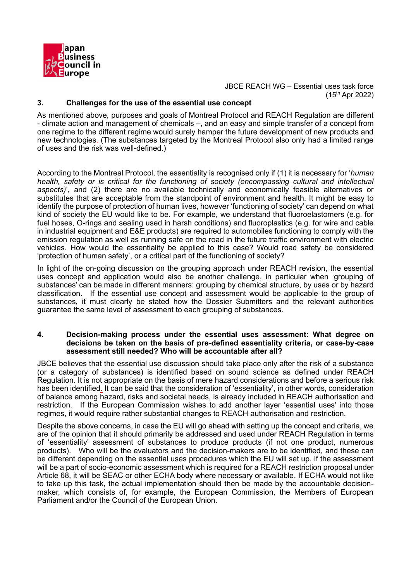

### **3. Challenges for the use of the essential use concept**

As mentioned above, purposes and goals of Montreal Protocol and REACH Regulation are different - climate action and management of chemicals –, and an easy and simple transfer of a concept from one regime to the different regime would surely hamper the future development of new products and new technologies. (The substances targeted by the Montreal Protocol also only had a limited range of uses and the risk was well-defined.)

According to the Montreal Protocol, the essentiality is recognised only if (1) it is necessary for '*human health, safety or is critical for the functioning of society (encompassing cultural and intellectual aspects)*', and (2) there are no available technically and economically feasible alternatives or substitutes that are acceptable from the standpoint of environment and health. It might be easy to identify the purpose of protection of human lives, however 'functioning of society' can depend on what kind of society the EU would like to be. For example, we understand that fluoroelastomers (e.g. for fuel hoses, O-rings and sealing used in harsh conditions) and fluoroplastics (e.g. for wire and cable in industrial equipment and E&E products) are required to automobiles functioning to comply with the emission regulation as well as running safe on the road in the future traffic environment with electric vehicles. How would the essentiality be applied to this case? Would road safety be considered 'protection of human safety', or a critical part of the functioning of society?

In light of the on-going discussion on the grouping approach under REACH revision, the essential uses concept and application would also be another challenge, in particular when 'grouping of substances' can be made in different manners: grouping by chemical structure, by uses or by hazard classification. If the essential use concept and assessment would be applicable to the group of substances, it must clearly be stated how the Dossier Submitters and the relevant authorities guarantee the same level of assessment to each grouping of substances.

#### **4. Decision-making process under the essential uses assessment: What degree on decisions be taken on the basis of pre-defined essentiality criteria, or case-by-case assessment still needed? Who will be accountable after all?**

JBCE believes that the essential use discussion should take place only after the risk of a substance (or a category of substances) is identified based on sound science as defined under REACH Regulation. It is not appropriate on the basis of mere hazard considerations and before a serious risk has been identified. It can be said that the consideration of 'essentiality', in other words, consideration of balance among hazard, risks and societal needs, is already included in REACH authorisation and restriction. If the European Commission wishes to add another layer 'essential uses' into those regimes, it would require rather substantial changes to REACH authorisation and restriction.

Despite the above concerns, in case the EU will go ahead with setting up the concept and criteria, we are of the opinion that it should primarily be addressed and used under REACH Regulation in terms of 'essentiality' assessment of substances to produce products (if not one product, numerous products). Who will be the evaluators and the decision-makers are to be identified, and these can be different depending on the essential uses procedures which the EU will set up. If the assessment will be a part of socio-economic assessment which is required for a REACH restriction proposal under Article 68, it will be SEAC or other ECHA body where necessary or available. If ECHA would not like to take up this task, the actual implementation should then be made by the accountable decisionmaker, which consists of, for example, the European Commission, the Members of European Parliament and/or the Council of the European Union.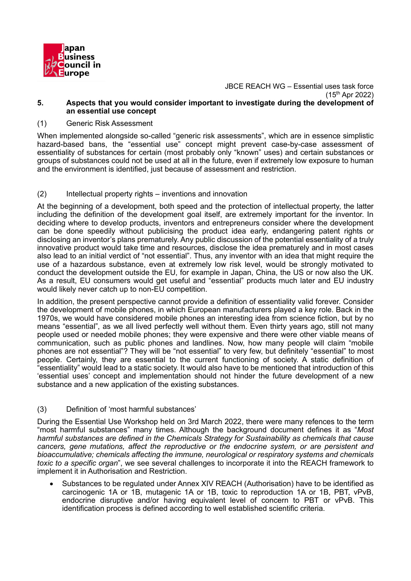

JBCE REACH WG – Essential uses task force (15 th Apr 2022) **5. Aspects that you would consider important to investigate during the development of**

### (1) Generic Risk Assessment

**an essential use concept** 

When implemented alongside so-called "generic risk assessments", which are in essence simplistic hazard-based bans, the "essential use" concept might prevent case-by-case assessment of essentiality of substances for certain (most probably only "known" uses) and certain substances or groups of substances could not be used at all in the future, even if extremely low exposure to human and the environment is identified, just because of assessment and restriction.

### (2) Intellectual property rights – inventions and innovation

At the beginning of a development, both speed and the protection of intellectual property, the latter including the definition of the development goal itself, are extremely important for the inventor. In deciding where to develop products, inventors and entrepreneurs consider where the development can be done speedily without publicising the product idea early, endangering patent rights or disclosing an inventor's plans prematurely. Any public discussion of the potential essentiality of a truly innovative product would take time and resources, disclose the idea prematurely and in most cases also lead to an initial verdict of "not essential". Thus, any inventor with an idea that might require the use of a hazardous substance, even at extremely low risk level, would be strongly motivated to conduct the development outside the EU, for example in Japan, China, the US or now also the UK. As a result, EU consumers would get useful and "essential" products much later and EU industry would likely never catch up to non-EU competition.

In addition, the present perspective cannot provide a definition of essentiality valid forever. Consider the development of mobile phones, in which European manufacturers played a key role. Back in the 1970s, we would have considered mobile phones an interesting idea from science fiction, but by no means "essential", as we all lived perfectly well without them. Even thirty years ago, still not many people used or needed mobile phones; they were expensive and there were other viable means of communication, such as public phones and landlines. Now, how many people will claim "mobile phones are not essential"? They will be "not essential" to very few, but definitely "essential" to most people. Certainly, they are essential to the current functioning of society. A static definition of "essentiality" would lead to a static society. It would also have to be mentioned that introduction of this 'essential uses' concept and implementation should not hinder the future development of a new substance and a new application of the existing substances.

#### (3) Definition of 'most harmful substances'

During the Essential Use Workshop held on 3rd March 2022, there were many refences to the term "most harmful substances" many times. Although the background document defines it as "*Most harmful substances are defined in the Chemicals Strategy for Sustainability as chemicals that cause cancers, gene mutations, affect the reproductive or the endocrine system, or are persistent and bioaccumulative; chemicals affecting the immune, neurological or respiratory systems and chemicals toxic to a specific organ*", we see several challenges to incorporate it into the REACH framework to implement it in Authorisation and Restriction.

• Substances to be regulated under Annex XIV REACH (Authorisation) have to be identified as carcinogenic 1A or 1B, mutagenic 1A or 1B, toxic to reproduction 1A or 1B, PBT, vPvB, endocrine disruptive and/or having equivalent level of concern to PBT or vPvB. This identification process is defined according to well established scientific criteria.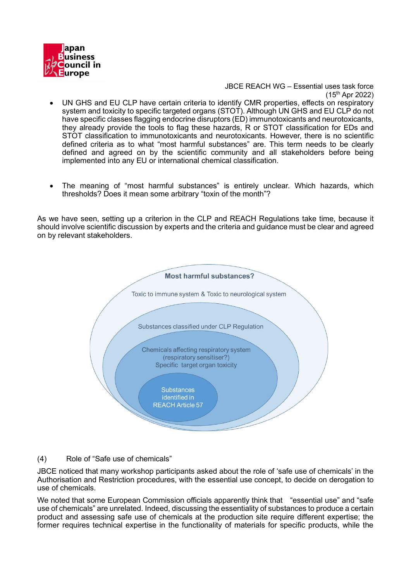

- UN GHS and EU CLP have certain criteria to identify CMR properties, effects on respiratory system and toxicity to specific targeted organs (STOT). Although UN GHS and EU CLP do not have specific classes flagging endocrine disruptors (ED) immunotoxicants and neurotoxicants, they already provide the tools to flag these hazards, R or STOT classification for EDs and STOT classification to immunotoxicants and neurotoxicants. However, there is no scientific defined criteria as to what "most harmful substances" are. This term needs to be clearly defined and agreed on by the scientific community and all stakeholders before being implemented into any EU or international chemical classification.
- The meaning of "most harmful substances" is entirely unclear. Which hazards, which thresholds? Does it mean some arbitrary "toxin of the month"?

As we have seen, setting up a criterion in the CLP and REACH Regulations take time, because it should involve scientific discussion by experts and the criteria and guidance must be clear and agreed on by relevant stakeholders.



## (4) Role of "Safe use of chemicals"

JBCE noticed that many workshop participants asked about the role of 'safe use of chemicals' in the Authorisation and Restriction procedures, with the essential use concept, to decide on derogation to use of chemicals.

We noted that some European Commission officials apparently think that "essential use" and "safe use of chemicals" are unrelated. Indeed, discussing the essentiality of substances to produce a certain product and assessing safe use of chemicals at the production site require different expertise; the former requires technical expertise in the functionality of materials for specific products, while the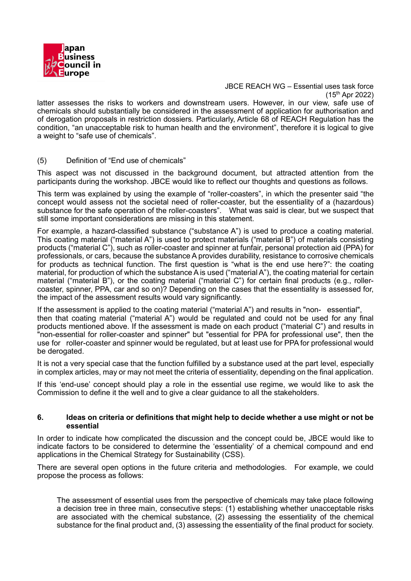

latter assesses the risks to workers and downstream users. However, in our view, safe use of chemicals should substantially be considered in the assessment of application for authorisation and of derogation proposals in restriction dossiers. Particularly, Article 68 of REACH Regulation has the condition, "an unacceptable risk to human health and the environment", therefore it is logical to give a weight to "safe use of chemicals".

### (5) Definition of "End use of chemicals"

This aspect was not discussed in the background document, but attracted attention from the participants during the workshop. JBCE would like to reflect our thoughts and questions as follows.

This term was explained by using the example of "roller-coasters", in which the presenter said "the concept would assess not the societal need of roller-coaster, but the essentiality of a (hazardous) substance for the safe operation of the roller-coasters". What was said is clear, but we suspect that still some important considerations are missing in this statement.

For example, a hazard-classified substance ("substance A") is used to produce a coating material. This coating material ("material A") is used to protect materials ("material B") of materials consisting products ("material C"), such as roller-coaster and spinner at funfair, personal protection aid (PPA) for professionals, or cars, because the substance A provides durability, resistance to corrosive chemicals for products as technical function. The first question is "what is the end use here?": the coating material, for production of which the substance A is used ("material A"), the coating material for certain material ("material B"), or the coating material ("material C") for certain final products (e.g., rollercoaster, spinner, PPA, car and so on)? Depending on the cases that the essentiality is assessed for, the impact of the assessment results would vary significantly.

If the assessment is applied to the coating material ("material A") and results in "non- essential", then that coating material ("material A") would be regulated and could not be used for any final products mentioned above. If the assessment is made on each product ("material C") and results in "non-essential for roller-coaster and spinner" but "essential for PPA for professional use", then the use for roller-coaster and spinner would be regulated, but at least use for PPA for professional would be derogated.

It is not a very special case that the function fulfilled by a substance used at the part level, especially in complex articles, may or may not meet the criteria of essentiality, depending on the final application.

If this 'end-use' concept should play a role in the essential use regime, we would like to ask the Commission to define it the well and to give a clear guidance to all the stakeholders.

#### **6. Ideas on criteria or definitions that might help to decide whether a use might or not be essential**

In order to indicate how complicated the discussion and the concept could be, JBCE would like to indicate factors to be considered to determine the 'essentiality' of a chemical compound and end applications in the Chemical Strategy for Sustainability (CSS).

There are several open options in the future criteria and methodologies. For example, we could propose the process as follows:

The assessment of essential uses from the perspective of chemicals may take place following a decision tree in three main, consecutive steps: (1) establishing whether unacceptable risks are associated with the chemical substance, (2) assessing the essentiality of the chemical substance for the final product and, (3) assessing the essentiality of the final product for society.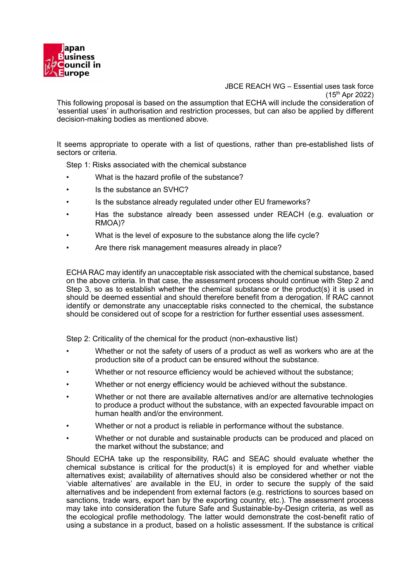

JBCE REACH WG – Essential uses task force (15 th Apr 2022) This following proposal is based on the assumption that ECHA will include the consideration of 'essential uses' in authorisation and restriction processes, but can also be applied by different decision-making bodies as mentioned above.

It seems appropriate to operate with a list of questions, rather than pre-established lists of sectors or criteria.

Step 1: Risks associated with the chemical substance

- What is the hazard profile of the substance?
- Is the substance an SVHC?
- Is the substance already regulated under other EU frameworks?
- Has the substance already been assessed under REACH (e.g. evaluation or RMOA)?
- What is the level of exposure to the substance along the life cycle?
- Are there risk management measures already in place?

ECHA RAC may identify an unacceptable risk associated with the chemical substance, based on the above criteria. In that case, the assessment process should continue with Step 2 and Step 3, so as to establish whether the chemical substance or the product(s) it is used in should be deemed essential and should therefore benefit from a derogation. If RAC cannot identify or demonstrate any unacceptable risks connected to the chemical, the substance should be considered out of scope for a restriction for further essential uses assessment.

Step 2: Criticality of the chemical for the product (non-exhaustive list)

- Whether or not the safety of users of a product as well as workers who are at the production site of a product can be ensured without the substance.
- Whether or not resource efficiency would be achieved without the substance;
- Whether or not energy efficiency would be achieved without the substance.
- Whether or not there are available alternatives and/or are alternative technologies to produce a product without the substance, with an expected favourable impact on human health and/or the environment.
- Whether or not a product is reliable in performance without the substance.
- Whether or not durable and sustainable products can be produced and placed on the market without the substance; and

Should ECHA take up the responsibility, RAC and SEAC should evaluate whether the chemical substance is critical for the product(s) it is employed for and whether viable alternatives exist; availability of alternatives should also be considered whether or not the 'viable alternatives' are available in the EU, in order to secure the supply of the said alternatives and be independent from external factors (e.g. restrictions to sources based on sanctions, trade wars, export ban by the exporting country, etc.). The assessment process may take into consideration the future Safe and Sustainable-by-Design criteria, as well as the ecological profile methodology. The latter would demonstrate the cost-benefit ratio of using a substance in a product, based on a holistic assessment. If the substance is critical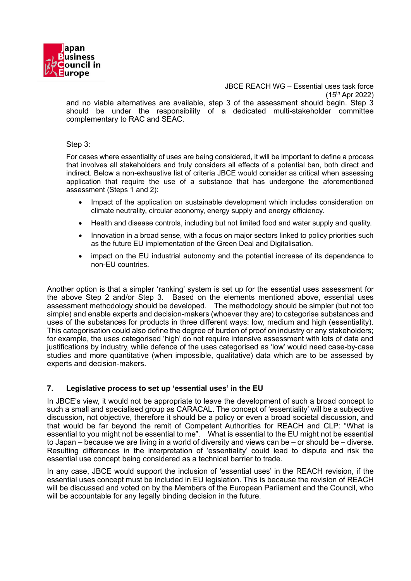

JBCE REACH WG – Essential uses task force (15 th Apr 2022) and no viable alternatives are available, step 3 of the assessment should begin. Step 3 should be under the responsibility of a dedicated multi-stakeholder committee complementary to RAC and SEAC.

Step 3:

For cases where essentiality of uses are being considered, it will be important to define a process that involves all stakeholders and truly considers all effects of a potential ban, both direct and indirect. Below a non-exhaustive list of criteria JBCE would consider as critical when assessing application that require the use of a substance that has undergone the aforementioned assessment (Steps 1 and 2):

- Impact of the application on sustainable development which includes consideration on climate neutrality, circular economy, energy supply and energy efficiency.
- Health and disease controls, including but not limited food and water supply and quality.
- Innovation in a broad sense, with a focus on major sectors linked to policy priorities such as the future EU implementation of the Green Deal and Digitalisation.
- impact on the EU industrial autonomy and the potential increase of its dependence to non-EU countries.

Another option is that a simpler 'ranking' system is set up for the essential uses assessment for the above Step 2 and/or Step 3. Based on the elements mentioned above, essential uses assessment methodology should be developed. The methodology should be simpler (but not too simple) and enable experts and decision-makers (whoever they are) to categorise substances and uses of the substances for products in three different ways: low, medium and high (essentiality). This categorisation could also define the degree of burden of proof on industry or any stakeholders; for example, the uses categorised 'high' do not require intensive assessment with lots of data and justifications by industry, while defence of the uses categorised as 'low' would need case-by-case studies and more quantitative (when impossible, qualitative) data which are to be assessed by experts and decision-makers.

## **7. Legislative process to set up 'essential uses' in the EU**

In JBCE's view, it would not be appropriate to leave the development of such a broad concept to such a small and specialised group as CARACAL. The concept of 'essentiality' will be a subjective discussion, not objective, therefore it should be a policy or even a broad societal discussion, and that would be far beyond the remit of Competent Authorities for REACH and CLP: "What is essential to you might not be essential to me". What is essential to the EU might not be essential to Japan – because we are living in a world of diversity and views can be – or should be – diverse. Resulting differences in the interpretation of 'essentiality' could lead to dispute and risk the essential use concept being considered as a technical barrier to trade.

In any case, JBCE would support the inclusion of 'essential uses' in the REACH revision, if the essential uses concept must be included in EU legislation. This is because the revision of REACH will be discussed and voted on by the Members of the European Parliament and the Council, who will be accountable for any legally binding decision in the future.